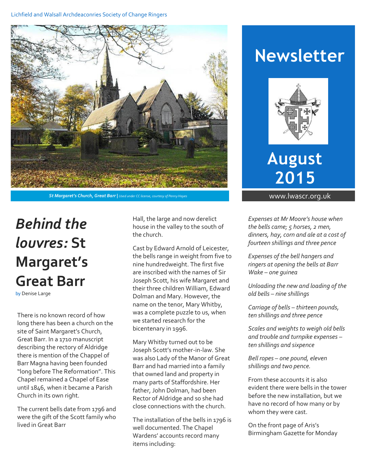#### Lichfield and Walsall Archdeaconries Society of Change Ringers



**St Margaret's Church, Great Barr** | Used under CC license, courtesy of Penny Hayes **www.lwascr.org.uk** 

# *Behind the louvres:* **St Margaret's Great Barr**

by Denise Large

There is no known record of how long there has been a church on the site of Saint Margaret's Church, Great Barr. In a 1710 manuscript describing the rectory of Aldridge there is mention of the Chappel of Barr Magna having been founded "long before The Reformation". This Chapel remained a Chapel of Ease until 1846, when it became a Parish Church in its own right.

The current bells date from 1796 and were the gift of the Scott family who lived in Great Barr

Hall, the large and now derelict house in the valley to the south of the church.

Cast by Edward Arnold of Leicester, the bells range in weight from five to nine hundredweight. The first five are inscribed with the names of Sir Joseph Scott, his wife Margaret and their three children William, Edward Dolman and Mary. However, the name on the tenor, Mary Whitby, was a complete puzzle to us, when we started research for the bicentenary in 1996.

Mary Whitby turned out to be Joseph Scott's mother-in-law. She was also Lady of the Manor of Great Barr and had married into a family that owned land and property in many parts of Staffordshire. Her father, John Dolman, had been Rector of Aldridge and so she had close connections with the church.

The installation of the bells in 1796 is well documented. The Chapel Wardens' accounts record many items including:

## **Newsletter**



**August 2015**

*Expenses at Mr Moore's house when the bells came; 5 horses, 2 men, dinners, hay, corn and ale at a cost of fourteen shillings and three pence*

*Expenses of the bell hangers and ringers at opening the bells at Barr Wake – one guinea*

*Unloading the new and loading of the old bells – nine shillings*

*Carriage of bells – thirteen pounds, ten shillings and three pence*

*Scales and weights to weigh old bells and trouble and turnpike expenses – ten shillings and sixpence*

*Bell ropes – one pound, eleven shillings and two pence.*

From these accounts it is also evident there were bells in the tower before the new installation, but we have no record of how many or by whom they were cast.

On the front page of Aris's Birmingham Gazette for Monday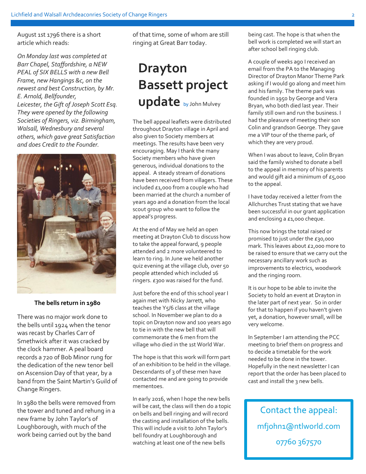August 1st 1796 there is a short article which reads:

*On Monday last was completed at Barr Chapel, Staffordshire, a NEW PEAL of SIX BELLS with a new Bell Frame, new Hangings &c, on the newest and best Construction, by Mr. E. Arnold, Bellfounder, Leicester, the Gift of Joseph Scott Esq. They were opened by the following Societies of Ringers, viz. Birmingham, Walsall, Wednesbury and several others, which gave great Satisfaction and does Credit to the Founder.*



#### **The bells return in 1980**

There was no major work done to the bells until 1924 when the tenor was recast by Charles Carr of Smethwick after it was cracked by the clock hammer. A peal board records a 720 of Bob Minor rung for the dedication of the new tenor bell on Ascension Day of that year, by a band from the Saint Martin's Guild of Change Ringers.

In 1980 the bells were removed from the tower and tuned and rehung in a new frame by John Taylor's of Loughborough, with much of the work being carried out by the band

of that time, some of whom are still ringing at Great Barr today.

### **Drayton Bassett project update** by John Mulvey

The bell appeal leaflets were distributed throughout Drayton village in April and also given to Society members at meetings. The results have been very encouraging. May I thank the many Society members who have given generous, individual donations to the appeal. A steady stream of donations have been received from villagers. These included £1,000 from a couple who had been married at the church a number of years ago and a donation from the local scout group who want to follow the appeal's progress.

At the end of May we held an open meeting at Drayton Club to discuss how to take the appeal forward, 9 people attended and 2 more volunteered to learn to ring. In June we held another quiz evening at the village club, over 50 people attended which included 16 ringers. £300 was raised for the fund.

Just before the end of this school year I again met with Nicky Jarrett, who teaches the Y5/6 class at the village school. In November we plan to do a topic on Drayton now and 100 years ago to tie in with the new bell that will commemorate the 6 men from the village who died in the 1st World War.

The hope is that this work will form part of an exhibition to be held in the village. Descendants of 3 of these men have contacted me and are going to provide mementoes.

In early 2016, when I hope the new bells will be cast, the class will then do a topic on bells and bell ringing and will record the casting and installation of the bells. This will include a visit to John Taylor's bell foundry at Loughborough and watching at least one of the new bells

being cast. The hope is that when the bell work is completed we will start an after school bell ringing club.

A couple of weeks ago I received an email from the PA to the Managing Director of Drayton Manor Theme Park asking if I would go along and meet him and his family. The theme park was founded in 1950 by George and Vera Bryan, who both died last year. Their family still own and run the business. I had the pleasure of meeting their son Colin and grandson George. They gave me a VIP tour of the theme park, of which they are very proud.

When I was about to leave, Colin Bryan said the family wished to donate a bell to the appeal in memory of his parents and would gift aid a minimum of  $E_5$ ,000 to the appeal.

I have today received a letter from the Allchurches Trust stating that we have been successful in our grant application and enclosing a £1,000 cheque.

This now brings the total raised or promised to just under the £30,000 mark. This leaves about £2,000 more to be raised to ensure that we carry out the necessary ancillary work such as improvements to electrics, woodwork and the ringing room.

It is our hope to be able to invite the Society to hold an event at Drayton in the later part of next year. So in order for that to happen if you haven't given yet, a donation, however small, will be very welcome.

In September I am attending the PCC meeting to brief them on progress and to decide a timetable for the work needed to be done in the tower. Hopefully in the next newsletter I can report that the order has been placed to cast and install the 3 new bells.

Contact the appeal: mfjohn1@ntlworld.com 07760 367570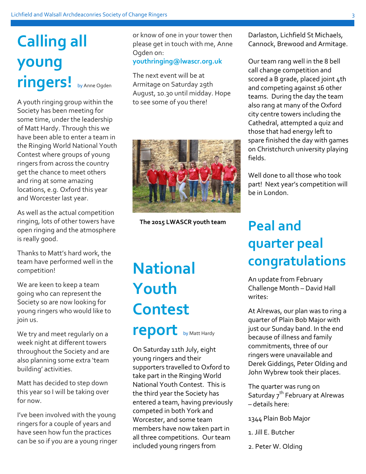# **Calling all young ringers!** by Anne Ogden

A youth ringing group within the Society has been meeting for some time, under the leadership of Matt Hardy. Through this we have been able to enter a team in the Ringing World National Youth Contest where groups of young ringers from across the country get the chance to meet others and ring at some amazing locations, e.g. Oxford this year and Worcester last year.

As well as the actual competition ringing, lots of other towers have open ringing and the atmosphere is really good.

Thanks to Matt's hard work, the team have performed well in the competition!

We are keen to keep a team going who can represent the Society so are now looking for young ringers who would like to join us.

We try and meet regularly on a week night at different towers throughout the Society and are also planning some extra 'team building' activities.

Matt has decided to step down this year so I will be taking over for now.

I've been involved with the young ringers for a couple of years and have seen how fun the practices can be so if you are a young ringer or know of one in your tower then please get in touch with me, Anne Ogden on: **youthringing@lwascr.org.uk**

The next event will be at Armitage on Saturday 29th August, 10.30 until midday. Hope to see some of you there!



**The 2015 LWASCR youth team** 

**National Youth Contest report** by Matt Hardy

On Saturday 11th July, eight young ringers and their supporters travelled to Oxford to take part in the Ringing World National Youth Contest. This is the third year the Society has entered a team, having previously competed in both York and Worcester, and some team members have now taken part in all three competitions. Our team included young ringers from

Darlaston, Lichfield St Michaels, Cannock, Brewood and Armitage.

Our team rang well in the 8 bell call change competition and scored a B grade, placed joint 4th and competing against 16 other teams. During the day the team also rang at many of the Oxford city centre towers including the Cathedral, attempted a quiz and those that had energy left to spare finished the day with games on Christchurch university playing fields.

Well done to all those who took part! Next year's competition will be in London.

## **Peal and quarter peal congratulations**

An update from February Challenge Month – David Hall writes:

At Alrewas, our plan was to ring a quarter of Plain Bob Major with just our Sunday band. In the end because of illness and family commitments, three of our ringers were unavailable and Derek Giddings, Peter Olding and John Wybrew took their places.

The quarter was rung on Saturday  $7^{th}$  February at Alrewas – details here:

1344 Plain Bob Major

- 1. Jill E. Butcher
- 2. Peter W. Olding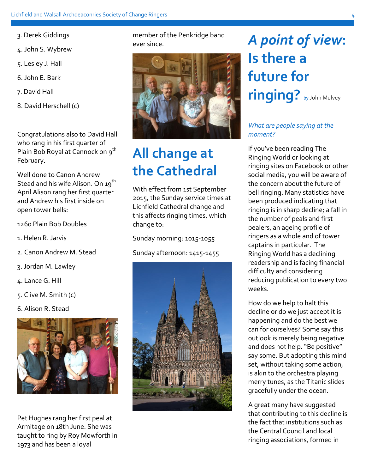- 3. Derek Giddings
- 4. John S. Wybrew
- 5. Lesley J. Hall
- 6. John E. Bark
- 7. David Hall
- 8. David Herschell (c)

Congratulations also to David Hall who rang in his first quarter of Plain Bob Royal at Cannock on 9<sup>th</sup> February.

Well done to Canon Andrew Stead and his wife Alison. On 19<sup>th</sup> April Alison rang her first quarter and Andrew his first inside on open tower bells:

1260 Plain Bob Doubles

- 1. Helen R. Jarvis
- 2. Canon Andrew M. Stead
- 3. Jordan M. Lawley
- 4. Lance G. Hill
- 5. Clive M. Smith (c)
- 6. Alison R. Stead



Pet Hughes rang her first peal at Armitage on 18th June. She was taught to ring by Roy Mowforth in 1973 and has been a loyal

member of the Penkridge band ever since.



## **All change at the Cathedral**

With effect from 1st September 2015, the Sunday service times at Lichfield Cathedral change and this affects ringing times, which change to:

Sunday morning: 1015-1055

Sunday afternoon: 1415-1455



# *A point of view***: Is there a future for ringing?** by John Mulvey

#### *What are people saying at the moment?*

If you've been reading The Ringing World or looking at ringing sites on Facebook or other social media, you will be aware of the concern about the future of bell ringing. Many statistics have been produced indicating that ringing is in sharp decline; a fall in the number of peals and first pealers, an ageing profile of ringers as a whole and of tower captains in particular. The Ringing World has a declining readership and is facing financial difficulty and considering reducing publication to every two weeks.

How do we help to halt this decline or do we just accept it is happening and do the best we can for ourselves? Some say this outlook is merely being negative and does not help. "Be positive" say some. But adopting this mind set, without taking some action, is akin to the orchestra playing merry tunes, as the Titanic slides gracefully under the ocean.

A great many have suggested that contributing to this decline is the fact that institutions such as the Central Council and local ringing associations, formed in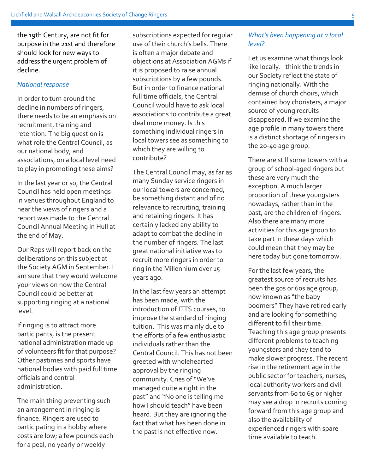the 19th Century, are not fit for purpose in the 21st and therefore should look for new ways to address the urgent problem of decline.

#### *National response*

In order to turn around the decline in numbers of ringers, there needs to be an emphasis on recruitment, training and retention. The big question is what role the Central Council, as our national body, and associations, on a local level need to play in promoting these aims?

In the last year or so, the Central Council has held open meetings in venues throughout England to hear the views of ringers and a report was made to the Central Council Annual Meeting in Hull at the end of May.

Our Reps will report back on the deliberations on this subject at the Society AGM in September. I am sure that they would welcome your views on how the Central Council could be better at supporting ringing at a national level.

If ringing is to attract more participants, is the present national administration made up of volunteers fit for that purpose? Other pastimes and sports have national bodies with paid full time officials and central administration.

The main thing preventing such an arrangement in ringing is finance. Ringers are used to participating in a hobby where costs are low; a few pounds each for a peal, no yearly or weekly

subscriptions expected for regular use of their church's bells. There is often a major debate and objections at Association AGMs if it is proposed to raise annual subscriptions by a few pounds. But in order to finance national full time officials, the Central Council would have to ask local associations to contribute a great deal more money. Is this something individual ringers in local towers see as something to which they are willing to contribute?

The Central Council may, as far as many Sunday service ringers in our local towers are concerned, be something distant and of no relevance to recruiting, training and retaining ringers. It has certainly lacked any ability to adapt to combat the decline in the number of ringers. The last great national initiative was to recruit more ringers in order to ring in the Millennium over 15 years ago.

In the last few years an attempt has been made, with the introduction of ITTS courses, to improve the standard of ringing tuition. This was mainly due to the efforts of a few enthusiastic individuals rather than the Central Council. This has not been greeted with wholehearted approval by the ringing community. Cries of "We've managed quite alright in the past" and "No one is telling me how I should teach" have been heard. But they are ignoring the fact that what has been done in the past is not effective now.

#### *What's been happening at a local level?*

Let us examine what things look like locally. I think the trends in our Society reflect the state of ringing nationally. With the demise of church choirs, which contained boy choristers, a major source of young recruits disappeared. If we examine the age profile in many towers there is a distinct shortage of ringers in the 20-40 age group.

There are still some towers with a group of school-aged ringers but these are very much the exception. A much larger proportion of these youngsters nowadays, rather than in the past, are the children of ringers. Also there are many more activities for this age group to take part in these days which could mean that they may be here today but gone tomorrow.

For the last few years, the greatest source of recruits has been the 50s or 60s age group, now known as "the baby boomers" They have retired early and are looking for something different to fill their time. Teaching this age group presents different problems to teaching youngsters and they tend to make slower progress. The recent rise in the retirement age in the public sector for teachers, nurses, local authority workers and civil servants from 60 to 65 or higher may see a drop in recruits coming forward from this age group and also the availability of experienced ringers with spare time available to teach.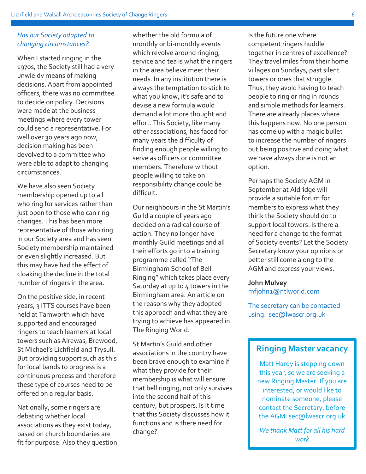#### *Has our Society adapted to changing circumstances?*

When I started ringing in the 1970s, the Society still had a very unwieldy means of making decisions. Apart from appointed officers, there was no committee to decide on policy. Decisions were made at the business meetings where every tower could send a representative. For well over 30 years ago now, decision making has been devolved to a committee who were able to adapt to changing circumstances.

We have also seen Society membership opened up to all who ring for services rather than just open to those who can ring changes. This has been more representative of those who ring in our Society area and has seen Society membership maintained or even slightly increased. But this may have had the effect of cloaking the decline in the total number of ringers in the area.

On the positive side, in recent years, 3 ITTS courses have been held at Tamworth which have supported and encouraged ringers to teach learners at local towers such as Alrewas, Brewood, St Michael's Lichfield and Trysull. But providing support such as this for local bands to progress is a continuous process and therefore these type of courses need to be offered on a regular basis.

Nationally, some ringers are debating whether local associations as they exist today, based on church boundaries are fit for purpose. Also they question

whether the old formula of monthly or bi-monthly events which revolve around ringing, service and tea is what the ringers in the area believe meet their needs. In any institution there is always the temptation to stick to what you know, it's safe and to devise a new formula would demand a lot more thought and effort. This Society, like many other associations, has faced for many years the difficulty of finding enough people willing to serve as officers or committee members. Therefore without people willing to take on responsibility change could be difficult.

Our neighbours in the St Martin's Guild a couple of years ago decided on a radical course of action. They no longer have monthly Guild meetings and all their efforts go into a training programme called "The Birmingham School of Bell Ringing" which takes place every Saturday at up to 4 towers in the Birmingham area. An article on the reasons why they adopted this approach and what they are trying to achieve has appeared in The Ringing World.

St Martin's Guild and other associations in the country have been brave enough to examine if what they provide for their membership is what will ensure that bell ringing, not only survives into the second half of this century, but prospers. Is it time that this Society discusses how it functions and is there need for change?

Is the future one where competent ringers huddle together in centres of excellence? They travel miles from their home villages on Sundays, past silent towers or ones that struggle. Thus, they avoid having to teach people to ring or ring in rounds and simple methods for learners. There are already places where this happens now. No one person has come up with a magic bullet to increase the number of ringers but being positive and doing what we have always done is not an option.

Perhaps the Society AGM in September at Aldridge will provide a suitable forum for members to express what they think the Society should do to support local towers. Is there a need for a change to the format of Society events? Let the Society Secretary know your opinions or better still come along to the AGM and express your views.

#### **John Mulvey** mfjohn1@ntlworld.com

The secretary can be contacted using: sec@lwascr.org.uk

### **Ringing Master vacancy**

Matt Hardy is stepping down this year, so we are seeking a new Ringing Master. If you are interested, or would like to nominate someone, please contact the Secretary, before the AGM: sec@lwascr.org.uk

*We thank Matt for all his hard work*